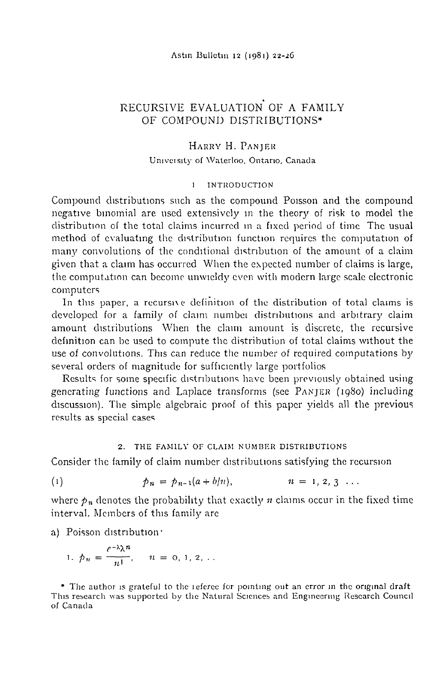Astin Bulletin 12 (1981) 22-26

# RECURSIVE EVALUATION OF A FAMILY OF COMPOUND DISTRIBUTIONS\*

## HARRY H. PANJER

## University of Waterloo, Ontario, Canada

#### **INTRODUCTION**  $\mathbf{1}$

Compound distributions such as the compound Poisson and the compound negative binomial are used extensively in the theory of risk to model the distribution of the total claims incurred in a fixed period of time. The usual method of evaluating the distribution function requires the computation of many convolutions of the conditional distribution of the amount of a claim given that a claim has occurred When the expected number of claims is large, the computation can become unwieldy even with modern large scale electronic computers

In this paper, a recursive definition of the distribution of total claims is developed for a family of claim number distributions and arbitrary claim amount distributions When the claim amount is discrete, the recursive definition can be used to compute the distribution of total claims without the use of convolutions. This can reduce the number of required computations by several orders of magnitude for sufficiently large portfolios

Results for some specific distributions have been previously obtained using generating functions and Laplace transforms (see PANJER (1980) including discussion). The simple algebraic proof of this paper vields all the previous results as special cases

## 2. THE FAMILY OF CLAIM NUMBER DISTRIBUTIONS

Consider the family of claim number distributions satisfying the recursion

 $(1)$  $p_n = p_{n-1}(a + b/n)$ ,  $n = 1, 2, 3 \ldots$ 

where  $p_n$  denotes the probability that exactly *n* claims occur in the fixed time interval. Members of this family are

a) Poisson distribution.

1. 
$$
p_n = \frac{e^{-\lambda} \lambda^n}{n!}, \quad n = 0, 1, 2, ...
$$

\* The author is grateful to the referee for pointing out an error in the original draft This research was supported by the Natural Sciences and Engineering Research Council of Canada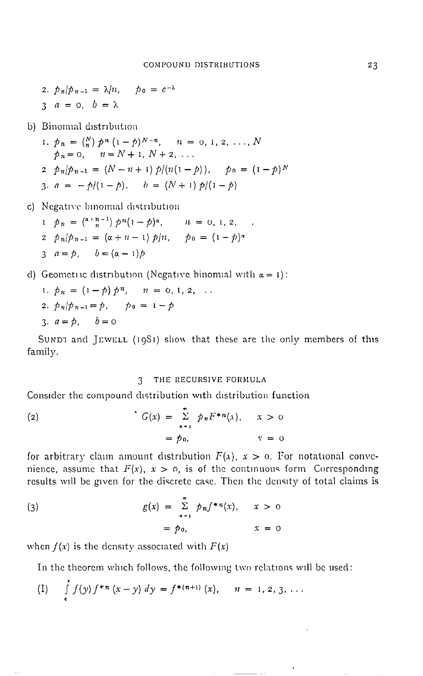- 2.  $p_n/p_{n-1} = \lambda/n$ ,  $p_0 = e^{-\lambda}$
- $3 \quad a = 0, \quad b = \lambda$

b) Binomial distribution

1.  $p_n = {N \choose n} p^n (1-p)^{N-n}, \quad n = 0, 1, 2, ..., N$  $p_n = 0, \quad n = N + 1, N + 2, \ldots$  $2 \ p_n | p_{n-1} = (N - n + 1) p/(n(1-p)), \quad p_0 = (1-p)^N$ 3.  $a = -\frac{b}{1 - p}$ ,  $b = (N + 1) p/(1 - p)$ 

c) Negative binomial distribution

- 1  $p_n = {(\alpha + n 1) \over n} p^n (1 p)^\alpha$ ,  $n = 0, 1, 2, ...$  $2 \ p_n/p_{n-1} = (\alpha + n - 1) p/n, \quad p_0 = (1 - p)^n$ 3  $a = p$ ,  $b = (\alpha - 1)p$
- d) Geometric distribution (Negative binomial with  $\alpha = 1$ ):

1. 
$$
p_n = (1 - p) p^n
$$
,  $n = 0, 1, 2, ...$   
\n2.  $p_n/p_{n-1} = p$ ,  $p_0 = 1 - p$   
\n3.  $a = p$ ,  $b = 0$ 

SUNDI and JEWELL (1981) show that these are the only members of this family.

## 3 THE RECURSIVE FORMULA

Consider the compound distribution with distribution function

(2) 
$$
G(x) = \sum_{n=1}^{\infty} p_n F^{*n}(x), \quad x > 0
$$

$$
= p_0, \quad x = 0
$$

for arbitrary claim amount distribution  $F(x)$ ,  $x > 0$ . For notational convenience, assume that  $F(x)$ ,  $x > 0$ , is of the continuous form Corresponding results will be given for the discrete case. Then the density of total claims is

(3) 
$$
g(x) = \sum_{n=1}^{\infty} p_n f^{*n}(x), \quad x > 0
$$

$$
= p_0, \qquad x = 0
$$

when  $f(x)$  is the density associated with  $F(x)$ 

In the theorem which follows, the following two relations will be used:

(I) 
$$
\int_{0}^{1} f(y) f^{*n}(x-y) dy = f^{*(n+1)}(x), \quad n = 1, 2, 3, ...
$$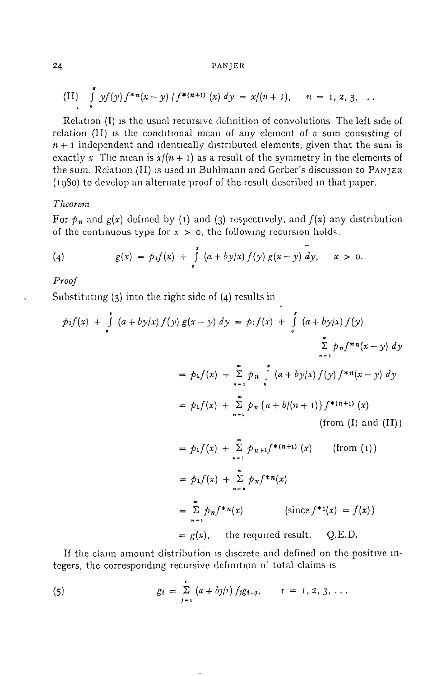### 24 PANJ ER

(II) 
$$
\int_{0}^{2} y f(y) f^{*n}(x-y) / f^{*(n+1)}(x) dy = x/(n+1), \quad n = 1, 2, 3, ...
$$

Relation (I) is the usual recursive definition of convolutions The left side of relation  $(II)$  is the conditional mean of any element of a sum consisting of  $n + 1$  independent and identically distributed elements, given that the sum is exactly x The mean is  $x/(n + 1)$  as a result of the symmetry in the elements of the sum. Relation (II) is used in Buhhnann and Gerber's discussion to PANJER (1980) to develop an alternate proof of the result described m that paper.

## *Theorem*

For  $p_n$  and  $g(x)$  defined by (1) and (3) respectively, and  $f(x)$  any distribution of the continuous type for  $x > 0$ , the following recursion holds.

(4) 
$$
g(x) = p_1 f(x) + \int_{0}^{x} (a + by/x) f(y) g(x - y) dy, \quad x > 0.
$$

*Proof* 

Substituting (3) into the right side of (4) results in

$$
p_1 f(x) + \int_{0}^{1} (a + by/x) f(y) g(x - y) dy = p_1 f(x) + \int_{0}^{1} (a + by/x) f(y)
$$
  
\n
$$
\sum_{n=1}^{\infty} p_n f^{*n}(x - y) dy
$$
  
\n
$$
= p_1 f(x) + \sum_{n=1}^{\infty} p_n \int_{0}^{x} (a + by/x) f(y) f^{*n}(x - y) dy
$$
  
\n
$$
= p_1 f(x) + \sum_{n=1}^{\infty} p_n \{a + b/(n+1)\} f^{*(n+1)}(x)
$$
  
\n(from (I) and (II))  
\n
$$
= p_1 f(x) + \sum_{n=1}^{\infty} p_{n+1} f^{*(n+1)}(x)
$$
  
\n
$$
= p_1 f(x) + \sum_{n=1}^{\infty} p_n f^{*n}(x)
$$
  
\n
$$
= \sum_{n=1}^{\infty} p_n f^{*n}(x)
$$
 (since  $f^{*1}(x) = f(x)$ )

 $= g(x)$ , the required result. Q.E.D.

If the claim amount distribution is discrete and defined on the positive integers, the corresponding recursive definition of total claims is

(5) 
$$
g_i = \sum_{j=1}^i (a + bj/t) f_j g_{i-j}, \qquad i = 1, 2, 3, ...
$$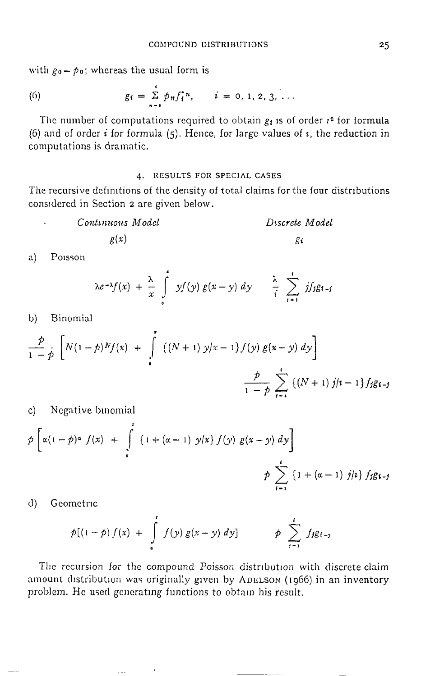with  $g_0 = p_0$ ; whereas the usual form is

(6) 
$$
g_i = \sum_{n=0}^{i} p_n f_i^{*n}, \qquad i = 0, 1, 2, 3, ...
$$

The number of computations required to obtain  $g_i$  is of order  $i^2$  for formula (6) and of order *i* for formula (5). Hence, for large values of  $\imath$ , the reduction in computations is dramatic.

## **4' RESULTS FOR SPECIAL** CASES

The recursive definitions of the density of total claims for the four distributions considered in Section 2 are given below.

| Continuous Model | Discrete Model |
|------------------|----------------|
| $g(x)$           | $g_1$          |

a) Poisson

$$
\lambda e^{-\lambda} f(x) + \frac{\lambda}{x} \int_{0}^{t} y f(y) g(x - y) dy \qquad \frac{\lambda}{i} \sum_{j=1}^{i} j f_j g_{i-j}
$$

b) Binomial

$$
\frac{p}{1-p} \left[ N(1-p)^N f(x) + \int_{0}^{1} \left\{ (N+1) y/x - 1 \right\} f(y) g(x-y) dy \right] + \frac{p}{1-p} \sum_{j=1}^{k} \left\{ (N+1) j/z - 1 \right\} f_j g_{i-j}
$$

c) Negative binomial

$$
\hat{p}\left[\alpha(1-\hat{p})^{\alpha} f(x) + \int_{0}^{x} \{1 + (\alpha - 1) y/x\} f(y) g(x - y) dy\right]
$$
\n
$$
\hat{p}\sum_{j=1}^{t} \{1 + (\alpha - 1) j/i\} f_j g_{i-j}
$$

d) Geometric

$$
p[(1-p) f(x) + \int_{0}^{1} f(y) g(x-y) dy] \qquad p \sum_{i=1}^{i} f_i g_{i-j}
$$

The recursion for the compound Poisson distribution with discrete claim amount distribution was originally given by ADELSON (1966) in an inventory problem. He used generating functions to obtain his result,